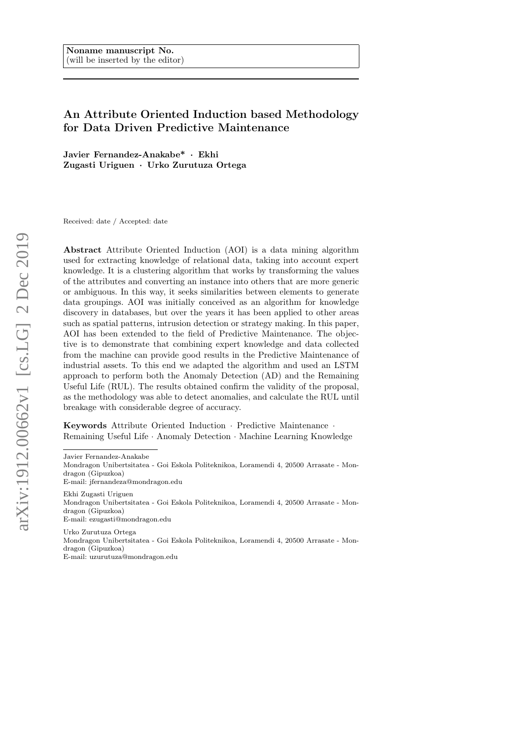# An Attribute Oriented Induction based Methodology for Data Driven Predictive Maintenance

Javier Fernandez-Anakabe\* · Ekhi Zugasti Uriguen · Urko Zurutuza Ortega

Received: date / Accepted: date

Abstract Attribute Oriented Induction (AOI) is a data mining algorithm used for extracting knowledge of relational data, taking into account expert knowledge. It is a clustering algorithm that works by transforming the values of the attributes and converting an instance into others that are more generic or ambiguous. In this way, it seeks similarities between elements to generate data groupings. AOI was initially conceived as an algorithm for knowledge discovery in databases, but over the years it has been applied to other areas such as spatial patterns, intrusion detection or strategy making. In this paper, AOI has been extended to the field of Predictive Maintenance. The objective is to demonstrate that combining expert knowledge and data collected from the machine can provide good results in the Predictive Maintenance of industrial assets. To this end we adapted the algorithm and used an LSTM approach to perform both the Anomaly Detection (AD) and the Remaining Useful Life (RUL). The results obtained confirm the validity of the proposal, as the methodology was able to detect anomalies, and calculate the RUL until breakage with considerable degree of accuracy.

Keywords Attribute Oriented Induction · Predictive Maintenance · Remaining Useful Life · Anomaly Detection · Machine Learning Knowledge

Javier Fernandez-Anakabe

E-mail: jfernandeza@mondragon.edu

Ekhi Zugasti Uriguen Mondragon Unibertsitatea - Goi Eskola Politeknikoa, Loramendi 4, 20500 Arrasate - Mondragon (Gipuzkoa) E-mail: ezugasti@mondragon.edu

Urko Zurutuza Ortega Mondragon Unibertsitatea - Goi Eskola Politeknikoa, Loramendi 4, 20500 Arrasate - Mondragon (Gipuzkoa) E-mail: uzurutuza@mondragon.edu

Mondragon Unibertsitatea - Goi Eskola Politeknikoa, Loramendi 4, 20500 Arrasate - Mondragon (Gipuzkoa)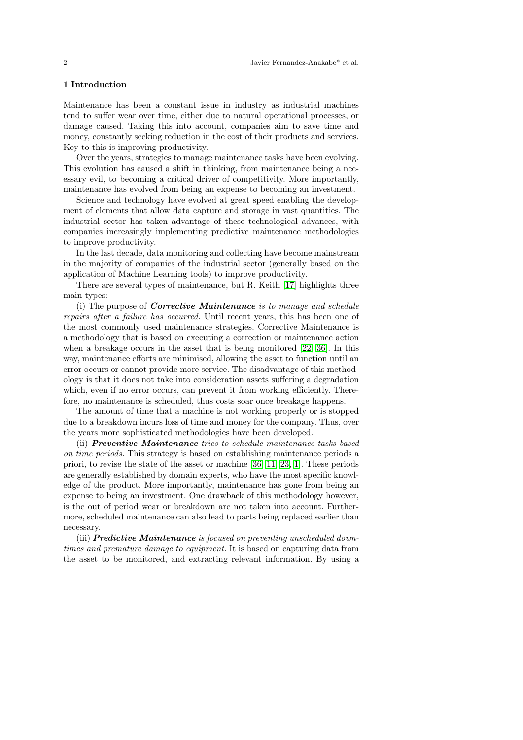# 1 Introduction

Maintenance has been a constant issue in industry as industrial machines tend to suffer wear over time, either due to natural operational processes, or damage caused. Taking this into account, companies aim to save time and money, constantly seeking reduction in the cost of their products and services. Key to this is improving productivity.

Over the years, strategies to manage maintenance tasks have been evolving. This evolution has caused a shift in thinking, from maintenance being a necessary evil, to becoming a critical driver of competitivity. More importantly, maintenance has evolved from being an expense to becoming an investment.

Science and technology have evolved at great speed enabling the development of elements that allow data capture and storage in vast quantities. The industrial sector has taken advantage of these technological advances, with companies increasingly implementing predictive maintenance methodologies to improve productivity.

In the last decade, data monitoring and collecting have become mainstream in the majority of companies of the industrial sector (generally based on the application of Machine Learning tools) to improve productivity.

There are several types of maintenance, but R. Keith [\[17\]](#page-23-0) highlights three main types:

(i) The purpose of Corrective Maintenance is to manage and schedule repairs after a failure has occurred. Until recent years, this has been one of the most commonly used maintenance strategies. Corrective Maintenance is a methodology that is based on executing a correction or maintenance action when a breakage occurs in the asset that is being monitored [\[22,](#page-23-1) [36\]](#page-24-0). In this way, maintenance efforts are minimised, allowing the asset to function until an error occurs or cannot provide more service. The disadvantage of this methodology is that it does not take into consideration assets suffering a degradation which, even if no error occurs, can prevent it from working efficiently. Therefore, no maintenance is scheduled, thus costs soar once breakage happens.

The amount of time that a machine is not working properly or is stopped due to a breakdown incurs loss of time and money for the company. Thus, over the years more sophisticated methodologies have been developed.

(ii) Preventive Maintenance tries to schedule maintenance tasks based on time periods. This strategy is based on establishing maintenance periods a priori, to revise the state of the asset or machine [\[36,](#page-24-0) [11,](#page-22-0) [23,](#page-23-2) [1\]](#page-22-1). These periods are generally established by domain experts, who have the most specific knowledge of the product. More importantly, maintenance has gone from being an expense to being an investment. One drawback of this methodology however, is the out of period wear or breakdown are not taken into account. Furthermore, scheduled maintenance can also lead to parts being replaced earlier than necessary.

(iii) **Predictive Maintenance** is focused on preventing unscheduled downtimes and premature damage to equipment. It is based on capturing data from the asset to be monitored, and extracting relevant information. By using a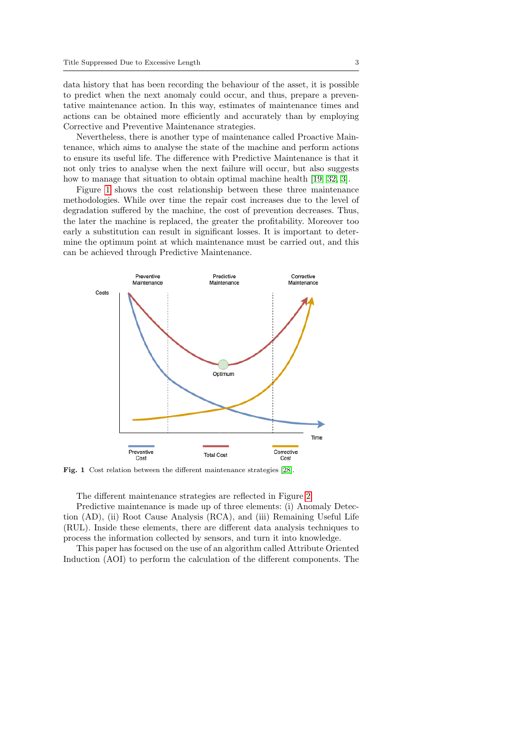data history that has been recording the behaviour of the asset, it is possible to predict when the next anomaly could occur, and thus, prepare a preventative maintenance action. In this way, estimates of maintenance times and actions can be obtained more efficiently and accurately than by employing Corrective and Preventive Maintenance strategies.

Nevertheless, there is another type of maintenance called Proactive Maintenance, which aims to analyse the state of the machine and perform actions to ensure its useful life. The difference with Predictive Maintenance is that it not only tries to analyse when the next failure will occur, but also suggests how to manage that situation to obtain optimal machine health [\[19,](#page-23-3) [32,](#page-24-1) [3\]](#page-22-2).

Figure [1](#page-2-0) shows the cost relationship between these three maintenance methodologies. While over time the repair cost increases due to the level of degradation suffered by the machine, the cost of prevention decreases. Thus, the later the machine is replaced, the greater the profitability. Moreover too early a substitution can result in significant losses. It is important to determine the optimum point at which maintenance must be carried out, and this can be achieved through Predictive Maintenance.



<span id="page-2-0"></span>Fig. 1 Cost relation between the different maintenance strategies [\[28\]](#page-24-2).

The different maintenance strategies are reflected in Figure [2.](#page-3-0)

Predictive maintenance is made up of three elements: (i) Anomaly Detection (AD), (ii) Root Cause Analysis (RCA), and (iii) Remaining Useful Life (RUL). Inside these elements, there are different data analysis techniques to process the information collected by sensors, and turn it into knowledge.

This paper has focused on the use of an algorithm called Attribute Oriented Induction (AOI) to perform the calculation of the different components. The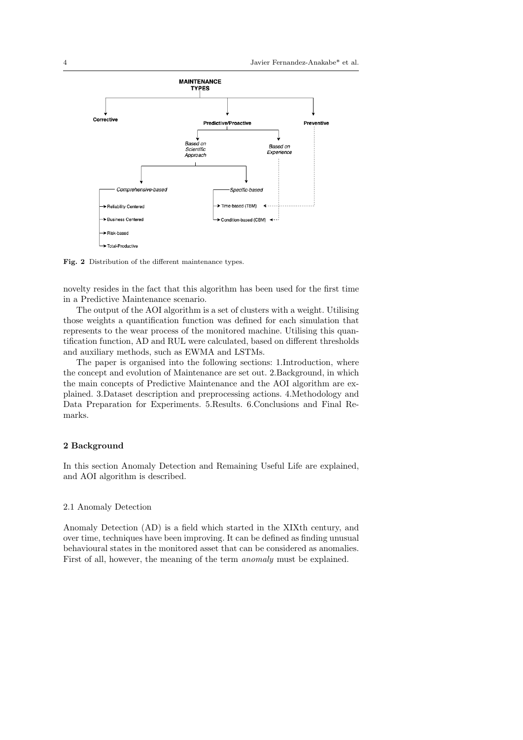

<span id="page-3-0"></span>Fig. 2 Distribution of the different maintenance types.

novelty resides in the fact that this algorithm has been used for the first time in a Predictive Maintenance scenario.

The output of the AOI algorithm is a set of clusters with a weight. Utilising those weights a quantification function was defined for each simulation that represents to the wear process of the monitored machine. Utilising this quantification function, AD and RUL were calculated, based on different thresholds and auxiliary methods, such as EWMA and LSTMs.

The paper is organised into the following sections: 1.Introduction, where the concept and evolution of Maintenance are set out. 2.Background, in which the main concepts of Predictive Maintenance and the AOI algorithm are explained. 3.Dataset description and preprocessing actions. 4.Methodology and Data Preparation for Experiments. 5.Results. 6.Conclusions and Final Remarks.

# 2 Background

In this section Anomaly Detection and Remaining Useful Life are explained, and AOI algorithm is described.

### 2.1 Anomaly Detection

Anomaly Detection (AD) is a field which started in the XIXth century, and over time, techniques have been improving. It can be defined as finding unusual behavioural states in the monitored asset that can be considered as anomalies. First of all, however, the meaning of the term anomaly must be explained.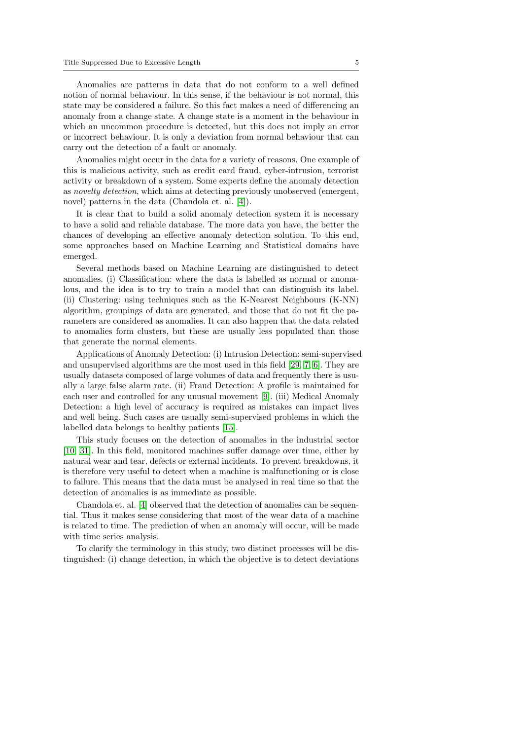Anomalies are patterns in data that do not conform to a well defined notion of normal behaviour. In this sense, if the behaviour is not normal, this state may be considered a failure. So this fact makes a need of differencing an anomaly from a change state. A change state is a moment in the behaviour in which an uncommon procedure is detected, but this does not imply an error or incorrect behaviour. It is only a deviation from normal behaviour that can carry out the detection of a fault or anomaly.

Anomalies might occur in the data for a variety of reasons. One example of this is malicious activity, such as credit card fraud, cyber-intrusion, terrorist activity or breakdown of a system. Some experts define the anomaly detection as novelty detection, which aims at detecting previously unobserved (emergent, novel) patterns in the data (Chandola et. al. [\[4\]](#page-22-3)).

It is clear that to build a solid anomaly detection system it is necessary to have a solid and reliable database. The more data you have, the better the chances of developing an effective anomaly detection solution. To this end, some approaches based on Machine Learning and Statistical domains have emerged.

Several methods based on Machine Learning are distinguished to detect anomalies. (i) Classification: where the data is labelled as normal or anomalous, and the idea is to try to train a model that can distinguish its label. (ii) Clustering: using techniques such as the K-Nearest Neighbours (K-NN) algorithm, groupings of data are generated, and those that do not fit the parameters are considered as anomalies. It can also happen that the data related to anomalies form clusters, but these are usually less populated than those that generate the normal elements.

Applications of Anomaly Detection: (i) Intrusion Detection: semi-supervised and unsupervised algorithms are the most used in this field [\[29,](#page-24-3) [7,](#page-22-4) [6\]](#page-22-5). They are usually datasets composed of large volumes of data and frequently there is usually a large false alarm rate. (ii) Fraud Detection: A profile is maintained for each user and controlled for any unusual movement [\[9\]](#page-22-6). (iii) Medical Anomaly Detection: a high level of accuracy is required as mistakes can impact lives and well being. Such cases are usually semi-supervised problems in which the labelled data belongs to healthy patients [\[15\]](#page-23-4).

This study focuses on the detection of anomalies in the industrial sector [\[10,](#page-22-7) [31\]](#page-24-4). In this field, monitored machines suffer damage over time, either by natural wear and tear, defects or external incidents. To prevent breakdowns, it is therefore very useful to detect when a machine is malfunctioning or is close to failure. This means that the data must be analysed in real time so that the detection of anomalies is as immediate as possible.

Chandola et. al. [\[4\]](#page-22-3) observed that the detection of anomalies can be sequential. Thus it makes sense considering that most of the wear data of a machine is related to time. The prediction of when an anomaly will occur, will be made with time series analysis.

To clarify the terminology in this study, two distinct processes will be distinguished: (i) change detection, in which the objective is to detect deviations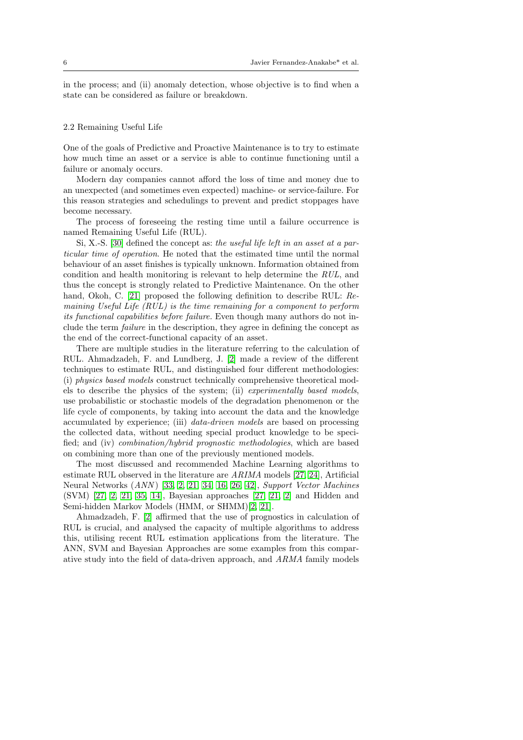in the process; and (ii) anomaly detection, whose objective is to find when a state can be considered as failure or breakdown.

#### 2.2 Remaining Useful Life

One of the goals of Predictive and Proactive Maintenance is to try to estimate how much time an asset or a service is able to continue functioning until a failure or anomaly occurs.

Modern day companies cannot afford the loss of time and money due to an unexpected (and sometimes even expected) machine- or service-failure. For this reason strategies and schedulings to prevent and predict stoppages have become necessary.

The process of foreseeing the resting time until a failure occurrence is named Remaining Useful Life (RUL).

Si, X.-S. [\[30\]](#page-24-5) defined the concept as: the useful life left in an asset at a particular time of operation. He noted that the estimated time until the normal behaviour of an asset finishes is typically unknown. Information obtained from condition and health monitoring is relevant to help determine the RUL, and thus the concept is strongly related to Predictive Maintenance. On the other hand, Okoh, C. [\[21\]](#page-23-5) proposed the following definition to describe RUL: Remaining Useful Life (RUL) is the time remaining for a component to perform its functional capabilities before failure. Even though many authors do not include the term failure in the description, they agree in defining the concept as the end of the correct-functional capacity of an asset.

There are multiple studies in the literature referring to the calculation of RUL. Ahmadzadeh, F. and Lundberg, J. [\[2\]](#page-22-8) made a review of the different techniques to estimate RUL, and distinguished four different methodologies: (i) physics based models construct technically comprehensive theoretical models to describe the physics of the system; (ii) experimentally based models, use probabilistic or stochastic models of the degradation phenomenon or the life cycle of components, by taking into account the data and the knowledge accumulated by experience; (iii) data-driven models are based on processing the collected data, without needing special product knowledge to be specified; and (iv) combination/hybrid prognostic methodologies, which are based on combining more than one of the previously mentioned models.

The most discussed and recommended Machine Learning algorithms to estimate RUL observed in the literature are ARIMA models [\[27,](#page-23-6) [24\]](#page-23-7), Artificial Neural Networks (ANN ) [\[33,](#page-24-6) [2,](#page-22-8) [21,](#page-23-5) [34,](#page-24-7) [16,](#page-23-8) [26,](#page-23-9) [42\]](#page-25-0), Support Vector Machines (SVM) [\[27,](#page-23-6) [2,](#page-22-8) [21,](#page-23-5) [35,](#page-24-8) [14\]](#page-23-10), Bayesian approaches [\[27,](#page-23-6) [21,](#page-23-5) [2\]](#page-22-8) and Hidden and Semi-hidden Markov Models (HMM, or SHMM)[\[2,](#page-22-8) [21\]](#page-23-5).

Ahmadzadeh, F. [\[2\]](#page-22-8) affirmed that the use of prognostics in calculation of RUL is crucial, and analysed the capacity of multiple algorithms to address this, utilising recent RUL estimation applications from the literature. The ANN, SVM and Bayesian Approaches are some examples from this comparative study into the field of data-driven approach, and ARMA family models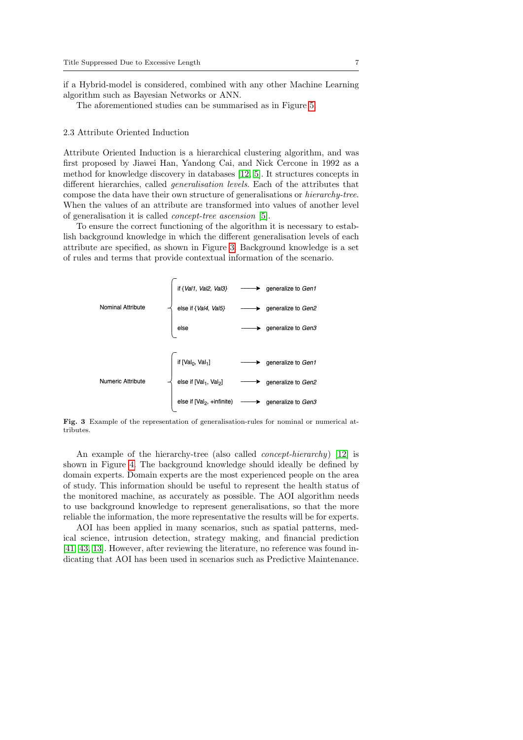if a Hybrid-model is considered, combined with any other Machine Learning algorithm such as Bayesian Networks or ANN.

The aforementioned studies can be summarised as in Figure [5.](#page-10-0)

#### 2.3 Attribute Oriented Induction

Attribute Oriented Induction is a hierarchical clustering algorithm, and was first proposed by Jiawei Han, Yandong Cai, and Nick Cercone in 1992 as a method for knowledge discovery in databases [\[12,](#page-23-11) [5\]](#page-22-9). It structures concepts in different hierarchies, called generalisation levels. Each of the attributes that compose the data have their own structure of generalisations or hierarchy-tree. When the values of an attribute are transformed into values of another level of generalisation it is called concept-tree ascension [\[5\]](#page-22-9).

To ensure the correct functioning of the algorithm it is necessary to establish background knowledge in which the different generalisation levels of each attribute are specified, as shown in Figure [3.](#page-6-0) Background knowledge is a set of rules and terms that provide contextual information of the scenario.

|                   | if {Val1, Val2, Val3} $\longrightarrow$        | generalize to Gen1                                     |
|-------------------|------------------------------------------------|--------------------------------------------------------|
| Nominal Attribute |                                                | else if {Val4, Val5} ----> generalize to Gen2          |
|                   | else                                           | → generalize to Gen3                                   |
|                   |                                                |                                                        |
|                   | if $[Val_0, Val_1]$                            | → generalize to Gen1                                   |
| Numeric Attribute | else if [Val <sub>1</sub> , Val <sub>2</sub> ] | generalize to Gen2                                     |
|                   |                                                | else if $[Val_2, + infinite)$ ----> generalize to Gen3 |

<span id="page-6-0"></span>Fig. 3 Example of the representation of generalisation-rules for nominal or numerical attributes.

An example of the hierarchy-tree (also called *concept-hierarchy*) [\[12\]](#page-23-11) is shown in Figure [4.](#page-7-0) The background knowledge should ideally be defined by domain experts. Domain experts are the most experienced people on the area of study. This information should be useful to represent the health status of the monitored machine, as accurately as possible. The AOI algorithm needs to use background knowledge to represent generalisations, so that the more reliable the information, the more representative the results will be for experts.

AOI has been applied in many scenarios, such as spatial patterns, medical science, intrusion detection, strategy making, and financial prediction [\[41,](#page-24-9) [43,](#page-25-1) [13\]](#page-23-12). However, after reviewing the literature, no reference was found indicating that AOI has been used in scenarios such as Predictive Maintenance.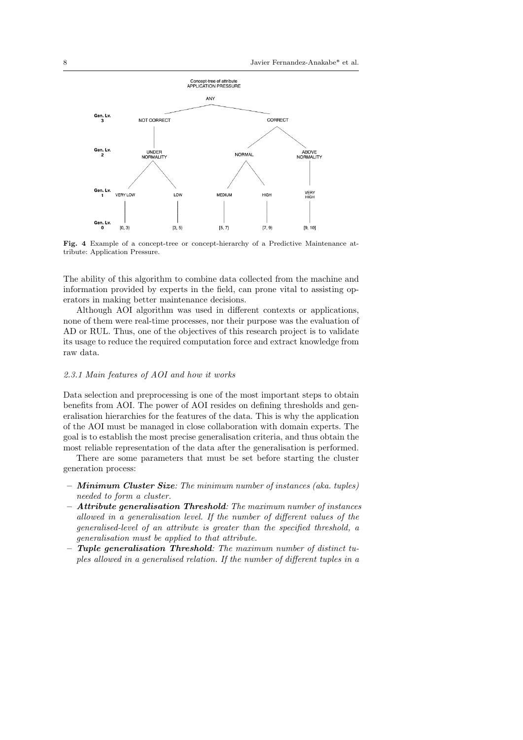

<span id="page-7-0"></span>Fig. 4 Example of a concept-tree or concept-hierarchy of a Predictive Maintenance attribute: Application Pressure.

The ability of this algorithm to combine data collected from the machine and information provided by experts in the field, can prone vital to assisting operators in making better maintenance decisions.

Although AOI algorithm was used in different contexts or applications, none of them were real-time processes, nor their purpose was the evaluation of AD or RUL. Thus, one of the objectives of this research project is to validate its usage to reduce the required computation force and extract knowledge from raw data.

## 2.3.1 Main features of AOI and how it works

Data selection and preprocessing is one of the most important steps to obtain benefits from AOI. The power of AOI resides on defining thresholds and generalisation hierarchies for the features of the data. This is why the application of the AOI must be managed in close collaboration with domain experts. The goal is to establish the most precise generalisation criteria, and thus obtain the most reliable representation of the data after the generalisation is performed.

There are some parameters that must be set before starting the cluster generation process:

- Minimum Cluster Size: The minimum number of instances (aka. tuples) needed to form a cluster.
- Attribute generalisation Threshold: The maximum number of instances allowed in a generalisation level. If the number of different values of the generalised-level of an attribute is greater than the specified threshold, a generalisation must be applied to that attribute.
- Tuple generalisation Threshold: The maximum number of distinct tuples allowed in a generalised relation. If the number of different tuples in a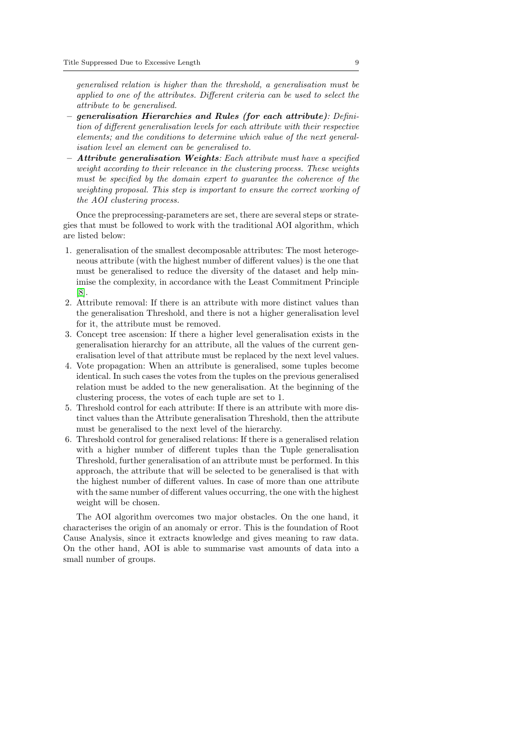generalised relation is higher than the threshold, a generalisation must be applied to one of the attributes. Different criteria can be used to select the attribute to be generalised.

- generalisation Hierarchies and Rules (for each attribute): Definition of different generalisation levels for each attribute with their respective elements; and the conditions to determine which value of the next generalisation level an element can be generalised to.
- $-$  Attribute generalisation Weights: Each attribute must have a specified weight according to their relevance in the clustering process. These weights must be specified by the domain expert to guarantee the coherence of the weighting proposal. This step is important to ensure the correct working of the AOI clustering process.

Once the preprocessing-parameters are set, there are several steps or strategies that must be followed to work with the traditional AOI algorithm, which are listed below:

- 1. generalisation of the smallest decomposable attributes: The most heterogeneous attribute (with the highest number of different values) is the one that must be generalised to reduce the diversity of the dataset and help minimise the complexity, in accordance with the Least Commitment Principle [\[8\]](#page-22-10).
- 2. Attribute removal: If there is an attribute with more distinct values than the generalisation Threshold, and there is not a higher generalisation level for it, the attribute must be removed.
- 3. Concept tree ascension: If there a higher level generalisation exists in the generalisation hierarchy for an attribute, all the values of the current generalisation level of that attribute must be replaced by the next level values.
- 4. Vote propagation: When an attribute is generalised, some tuples become identical. In such cases the votes from the tuples on the previous generalised relation must be added to the new generalisation. At the beginning of the clustering process, the votes of each tuple are set to 1.
- 5. Threshold control for each attribute: If there is an attribute with more distinct values than the Attribute generalisation Threshold, then the attribute must be generalised to the next level of the hierarchy.
- 6. Threshold control for generalised relations: If there is a generalised relation with a higher number of different tuples than the Tuple generalisation Threshold, further generalisation of an attribute must be performed. In this approach, the attribute that will be selected to be generalised is that with the highest number of different values. In case of more than one attribute with the same number of different values occurring, the one with the highest weight will be chosen.

The AOI algorithm overcomes two major obstacles. On the one hand, it characterises the origin of an anomaly or error. This is the foundation of Root Cause Analysis, since it extracts knowledge and gives meaning to raw data. On the other hand, AOI is able to summarise vast amounts of data into a small number of groups.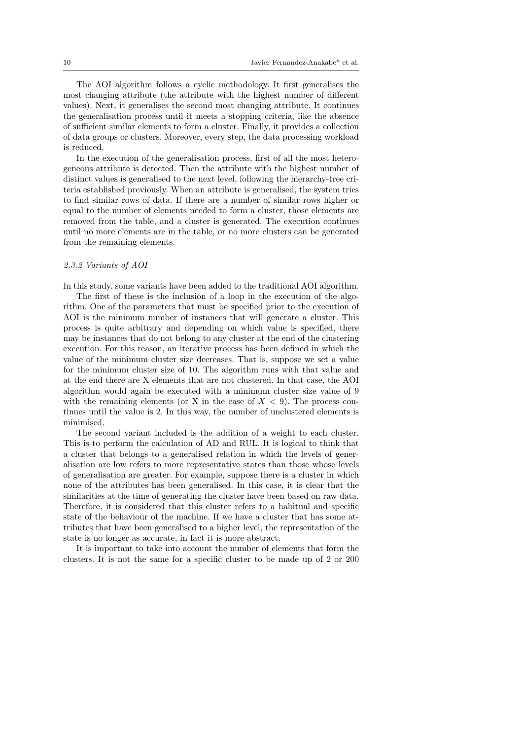The AOI algorithm follows a cyclic methodology. It first generalises the most changing attribute (the attribute with the highest number of different values). Next, it generalises the second most changing attribute. It continues the generalisation process until it meets a stopping criteria, like the absence of sufficient similar elements to form a cluster. Finally, it provides a collection of data groups or clusters. Moreover, every step, the data processing workload is reduced.

In the execution of the generalisation process, first of all the most heterogeneous attribute is detected. Then the attribute with the highest number of distinct values is generalised to the next level, following the hierarchy-tree criteria established previously. When an attribute is generalised, the system tries to find similar rows of data. If there are a number of similar rows higher or equal to the number of elements needed to form a cluster, those elements are removed from the table, and a cluster is generated. The execution continues until no more elements are in the table, or no more clusters can be generated from the remaining elements.

#### 2.3.2 Variants of AOI

In this study, some variants have been added to the traditional AOI algorithm.

The first of these is the inclusion of a loop in the execution of the algorithm. One of the parameters that must be specified prior to the execution of AOI is the minimum number of instances that will generate a cluster. This process is quite arbitrary and depending on which value is specified, there may be instances that do not belong to any cluster at the end of the clustering execution. For this reason, an iterative process has been defined in which the value of the minimum cluster size decreases. That is, suppose we set a value for the minimum cluster size of 10. The algorithm runs with that value and at the end there are X elements that are not clustered. In that case, the AOI algorithm would again be executed with a minimum cluster size value of 9 with the remaining elements (or X in the case of  $X < 9$ ). The process continues until the value is 2. In this way, the number of unclustered elements is minimised.

The second variant included is the addition of a weight to each cluster. This is to perform the calculation of AD and RUL. It is logical to think that a cluster that belongs to a generalised relation in which the levels of generalisation are low refers to more representative states than those whose levels of generalisation are greater. For example, suppose there is a cluster in which none of the attributes has been generalised. In this case, it is clear that the similarities at the time of generating the cluster have been based on raw data. Therefore, it is considered that this cluster refers to a habitual and specific state of the behaviour of the machine. If we have a cluster that has some attributes that have been generalised to a higher level, the representation of the state is no longer as accurate, in fact it is more abstract.

It is important to take into account the number of elements that form the clusters. It is not the same for a specific cluster to be made up of 2 or 200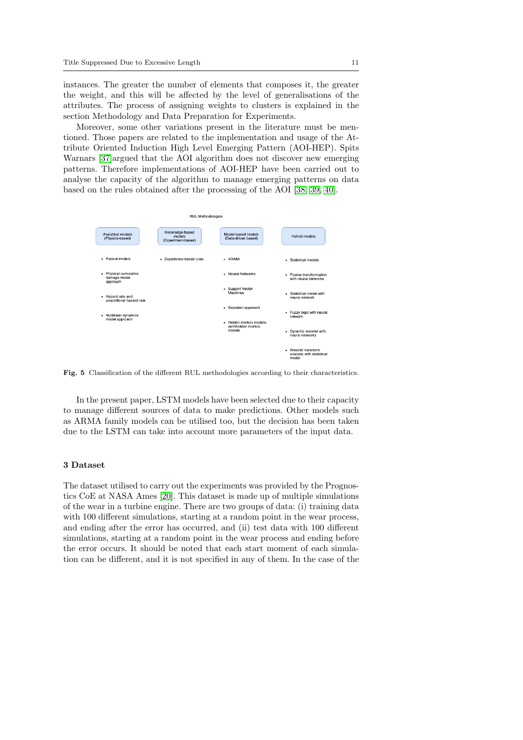instances. The greater the number of elements that composes it, the greater the weight, and this will be affected by the level of generalisations of the attributes. The process of assigning weights to clusters is explained in the section Methodology and Data Preparation for Experiments.

Moreover, some other variations present in the literature must be mentioned. Those papers are related to the implementation and usage of the Attribute Oriented Induction High Level Emerging Pattern (AOI-HEP). Spits Warnars [\[37\]](#page-24-10)argued that the AOI algorithm does not discover new emerging patterns. Therefore implementations of AOI-HEP have been carried out to analyse the capacity of the algorithm to manage emerging patterns on data based on the rules obtained after the processing of the AOI [\[38,](#page-24-11) [39,](#page-24-12) [40\]](#page-24-13).



<span id="page-10-0"></span>Fig. 5 Classification of the different RUL methodologies according to their characteristics.

In the present paper, LSTM models have been selected due to their capacity to manage different sources of data to make predictions. Other models such as ARMA family models can be utilised too, but the decision has been taken due to the LSTM can take into account more parameters of the input data.

# 3 Dataset

The dataset utilised to carry out the experiments was provided by the Prognostics CoE at NASA Ames [\[20\]](#page-23-13). This dataset is made up of multiple simulations of the wear in a turbine engine. There are two groups of data: (i) training data with 100 different simulations, starting at a random point in the wear process, and ending after the error has occurred, and (ii) test data with 100 different simulations, starting at a random point in the wear process and ending before the error occurs. It should be noted that each start moment of each simulation can be different, and it is not specified in any of them. In the case of the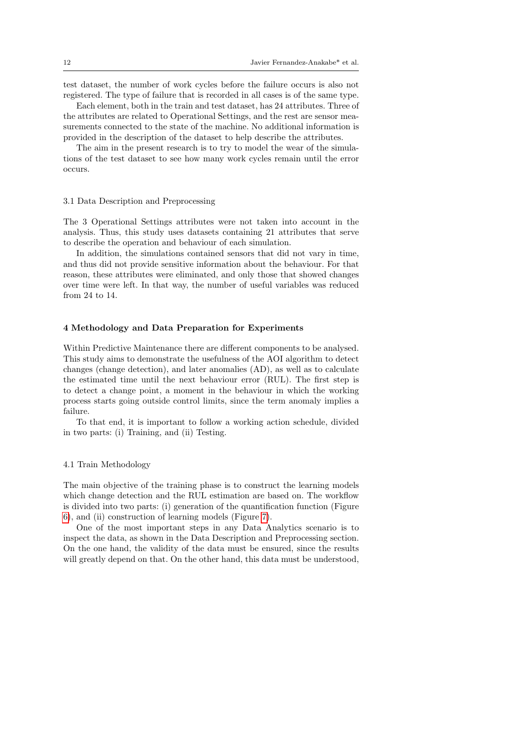test dataset, the number of work cycles before the failure occurs is also not registered. The type of failure that is recorded in all cases is of the same type.

Each element, both in the train and test dataset, has 24 attributes. Three of the attributes are related to Operational Settings, and the rest are sensor measurements connected to the state of the machine. No additional information is provided in the description of the dataset to help describe the attributes.

The aim in the present research is to try to model the wear of the simulations of the test dataset to see how many work cycles remain until the error occurs.

#### 3.1 Data Description and Preprocessing

The 3 Operational Settings attributes were not taken into account in the analysis. Thus, this study uses datasets containing 21 attributes that serve to describe the operation and behaviour of each simulation.

In addition, the simulations contained sensors that did not vary in time, and thus did not provide sensitive information about the behaviour. For that reason, these attributes were eliminated, and only those that showed changes over time were left. In that way, the number of useful variables was reduced from 24 to 14.

### 4 Methodology and Data Preparation for Experiments

Within Predictive Maintenance there are different components to be analysed. This study aims to demonstrate the usefulness of the AOI algorithm to detect changes (change detection), and later anomalies (AD), as well as to calculate the estimated time until the next behaviour error (RUL). The first step is to detect a change point, a moment in the behaviour in which the working process starts going outside control limits, since the term anomaly implies a failure.

To that end, it is important to follow a working action schedule, divided in two parts: (i) Training, and (ii) Testing.

## 4.1 Train Methodology

The main objective of the training phase is to construct the learning models which change detection and the RUL estimation are based on. The workflow is divided into two parts: (i) generation of the quantification function (Figure [6\)](#page-12-0), and (ii) construction of learning models (Figure [7\)](#page-14-0).

One of the most important steps in any Data Analytics scenario is to inspect the data, as shown in the Data Description and Preprocessing section. On the one hand, the validity of the data must be ensured, since the results will greatly depend on that. On the other hand, this data must be understood,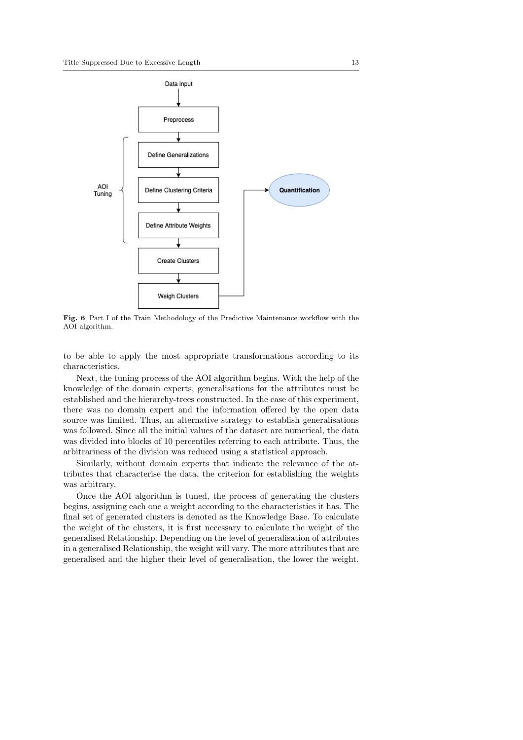

<span id="page-12-0"></span>Fig. 6 Part I of the Train Methodology of the Predictive Maintenance workflow with the AOI algorithm.

to be able to apply the most appropriate transformations according to its characteristics.

Next, the tuning process of the AOI algorithm begins. With the help of the knowledge of the domain experts, generalisations for the attributes must be established and the hierarchy-trees constructed. In the case of this experiment, there was no domain expert and the information offered by the open data source was limited. Thus, an alternative strategy to establish generalisations was followed. Since all the initial values of the dataset are numerical, the data was divided into blocks of 10 percentiles referring to each attribute. Thus, the arbitrariness of the division was reduced using a statistical approach.

Similarly, without domain experts that indicate the relevance of the attributes that characterise the data, the criterion for establishing the weights was arbitrary.

Once the AOI algorithm is tuned, the process of generating the clusters begins, assigning each one a weight according to the characteristics it has. The final set of generated clusters is denoted as the Knowledge Base. To calculate the weight of the clusters, it is first necessary to calculate the weight of the generalised Relationship. Depending on the level of generalisation of attributes in a generalised Relationship, the weight will vary. The more attributes that are generalised and the higher their level of generalisation, the lower the weight.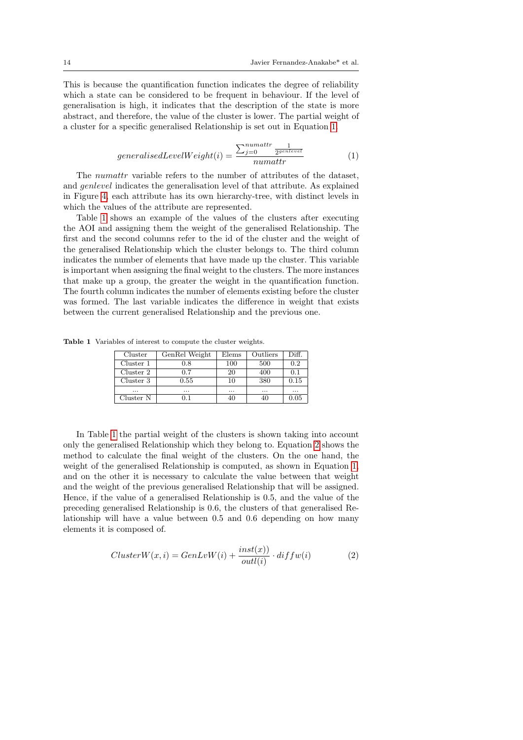This is because the quantification function indicates the degree of reliability which a state can be considered to be frequent in behaviour. If the level of generalisation is high, it indicates that the description of the state is more abstract, and therefore, the value of the cluster is lower. The partial weight of a cluster for a specific generalised Relationship is set out in Equation [1.](#page-13-0)

<span id="page-13-0"></span>
$$
generalisedLevelWeight(i) = \frac{\sum_{j=0}^{numattr} \frac{1}{2^{genlevel}}}{2^{unl event}}{numattr}
$$
\n(1)

The *numattr* variable refers to the number of attributes of the dataset, and genlevel indicates the generalisation level of that attribute. As explained in Figure [4,](#page-7-0) each attribute has its own hierarchy-tree, with distinct levels in which the values of the attribute are represented.

Table [1](#page-13-1) shows an example of the values of the clusters after executing the AOI and assigning them the weight of the generalised Relationship. The first and the second columns refer to the id of the cluster and the weight of the generalised Relationship which the cluster belongs to. The third column indicates the number of elements that have made up the cluster. This variable is important when assigning the final weight to the clusters. The more instances that make up a group, the greater the weight in the quantification function. The fourth column indicates the number of elements existing before the cluster was formed. The last variable indicates the difference in weight that exists between the current generalised Relationship and the previous one.

Table 1 Variables of interest to compute the cluster weights.

<span id="page-13-1"></span>

| Cluster   | GenRel Weight | Elems    | Outliers | Diff. |
|-----------|---------------|----------|----------|-------|
| Cluster 1 | 0.8           | 100      | 500      | 0.2   |
| Cluster 2 | 0.7           | 20       | 400      | 0.1   |
| Cluster 3 | 0.55          | 10       | 380      | 0.15  |
|           | $\cdots$      | $\cdots$ | $\cdots$ | .     |
| Cluster N | 0.1           |          | 40       | 0.05  |

In Table [1](#page-13-1) the partial weight of the clusters is shown taking into account only the generalised Relationship which they belong to. Equation [2](#page-13-2) shows the method to calculate the final weight of the clusters. On the one hand, the weight of the generalised Relationship is computed, as shown in Equation [1,](#page-13-0) and on the other it is necessary to calculate the value between that weight and the weight of the previous generalised Relationship that will be assigned. Hence, if the value of a generalised Relationship is 0.5, and the value of the preceding generalised Relationship is 0.6, the clusters of that generalised Relationship will have a value between 0.5 and 0.6 depending on how many elements it is composed of.

<span id="page-13-2"></span>
$$
ClusterW(x, i) = GenLvW(i) + \frac{inst(x))}{outl(i)} \cdot diffw(i)
$$
 (2)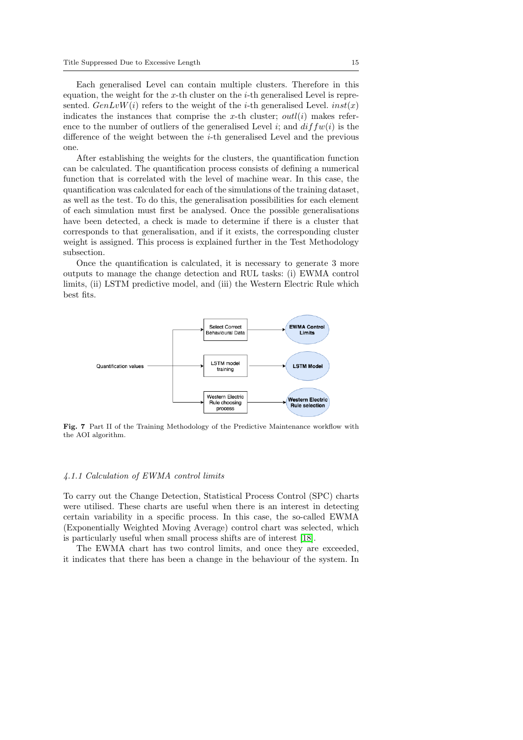Each generalised Level can contain multiple clusters. Therefore in this equation, the weight for the x-th cluster on the  $i$ -th generalised Level is represented.  $GenLvW(i)$  refers to the weight of the *i*-th generalised Level.  $inst(x)$ indicates the instances that comprise the x-th cluster;  $outli(i)$  makes reference to the number of outliers of the generalised Level i; and  $diffw(i)$  is the difference of the weight between the  $i$ -th generalised Level and the previous one.

After establishing the weights for the clusters, the quantification function can be calculated. The quantification process consists of defining a numerical function that is correlated with the level of machine wear. In this case, the quantification was calculated for each of the simulations of the training dataset, as well as the test. To do this, the generalisation possibilities for each element of each simulation must first be analysed. Once the possible generalisations have been detected, a check is made to determine if there is a cluster that corresponds to that generalisation, and if it exists, the corresponding cluster weight is assigned. This process is explained further in the Test Methodology subsection.

Once the quantification is calculated, it is necessary to generate 3 more outputs to manage the change detection and RUL tasks: (i) EWMA control limits, (ii) LSTM predictive model, and (iii) the Western Electric Rule which best fits.



<span id="page-14-0"></span>Fig. 7 Part II of the Training Methodology of the Predictive Maintenance workflow with the AOI algorithm.

## 4.1.1 Calculation of EWMA control limits

To carry out the Change Detection, Statistical Process Control (SPC) charts were utilised. These charts are useful when there is an interest in detecting certain variability in a specific process. In this case, the so-called EWMA (Exponentially Weighted Moving Average) control chart was selected, which is particularly useful when small process shifts are of interest [\[18\]](#page-23-14).

The EWMA chart has two control limits, and once they are exceeded, it indicates that there has been a change in the behaviour of the system. In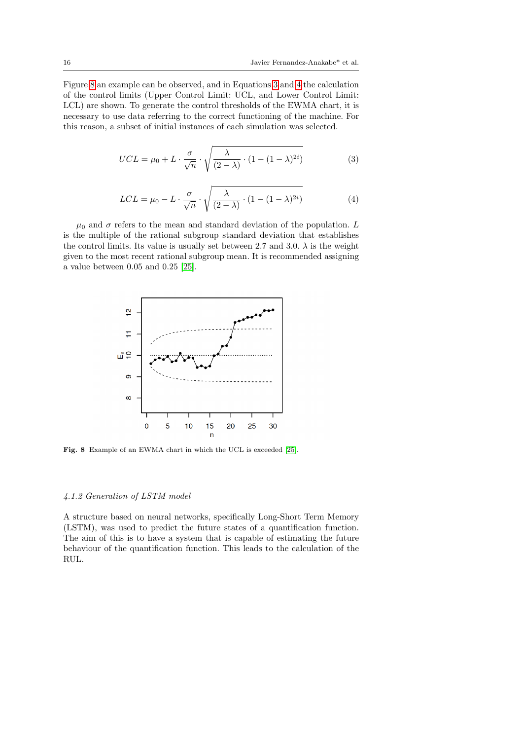Figure [8](#page-15-0) an example can be observed, and in Equations [3](#page-15-1) and [4](#page-15-2) the calculation of the control limits (Upper Control Limit: UCL, and Lower Control Limit: LCL) are shown. To generate the control thresholds of the EWMA chart, it is necessary to use data referring to the correct functioning of the machine. For this reason, a subset of initial instances of each simulation was selected.

<span id="page-15-1"></span>
$$
UCL = \mu_0 + L \cdot \frac{\sigma}{\sqrt{n}} \cdot \sqrt{\frac{\lambda}{(2-\lambda)} \cdot (1 - (1-\lambda)^{2i})}
$$
(3)

<span id="page-15-2"></span>
$$
LCL = \mu_0 - L \cdot \frac{\sigma}{\sqrt{n}} \cdot \sqrt{\frac{\lambda}{(2-\lambda)} \cdot (1 - (1-\lambda)^{2i})}
$$
(4)

 $\mu_0$  and  $\sigma$  refers to the mean and standard deviation of the population. L is the multiple of the rational subgroup standard deviation that establishes the control limits. Its value is usually set between 2.7 and 3.0.  $\lambda$  is the weight given to the most recent rational subgroup mean. It is recommended assigning a value between 0.05 and 0.25 [\[25\]](#page-23-15).



<span id="page-15-0"></span>Fig. 8 Example of an EWMA chart in which the UCL is exceeded [\[25\]](#page-23-15).

# 4.1.2 Generation of LSTM model

A structure based on neural networks, specifically Long-Short Term Memory (LSTM), was used to predict the future states of a quantification function. The aim of this is to have a system that is capable of estimating the future behaviour of the quantification function. This leads to the calculation of the RUL.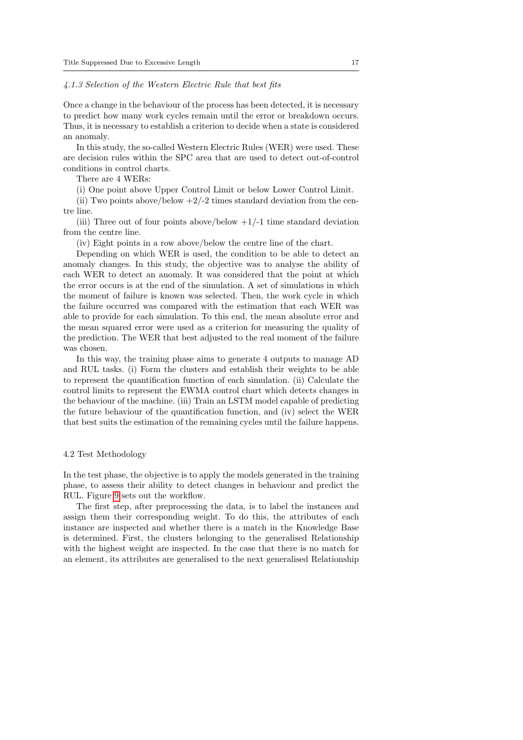### 4.1.3 Selection of the Western Electric Rule that best fits

Once a change in the behaviour of the process has been detected, it is necessary to predict how many work cycles remain until the error or breakdown occurs. Thus, it is necessary to establish a criterion to decide when a state is considered an anomaly.

In this study, the so-called Western Electric Rules (WER) were used. These are decision rules within the SPC area that are used to detect out-of-control conditions in control charts.

There are 4 WERs:

(i) One point above Upper Control Limit or below Lower Control Limit.

(ii) Two points above/below  $+2/-2$  times standard deviation from the centre line.

(iii) Three out of four points above/below  $+1/-1$  time standard deviation from the centre line.

(iv) Eight points in a row above/below the centre line of the chart.

Depending on which WER is used, the condition to be able to detect an anomaly changes. In this study, the objective was to analyse the ability of each WER to detect an anomaly. It was considered that the point at which the error occurs is at the end of the simulation. A set of simulations in which the moment of failure is known was selected. Then, the work cycle in which the failure occurred was compared with the estimation that each WER was able to provide for each simulation. To this end, the mean absolute error and the mean squared error were used as a criterion for measuring the quality of the prediction. The WER that best adjusted to the real moment of the failure was chosen.

In this way, the training phase aims to generate 4 outputs to manage AD and RUL tasks. (i) Form the clusters and establish their weights to be able to represent the quantification function of each simulation. (ii) Calculate the control limits to represent the EWMA control chart which detects changes in the behaviour of the machine. (iii) Train an LSTM model capable of predicting the future behaviour of the quantification function, and (iv) select the WER that best suits the estimation of the remaining cycles until the failure happens.

#### 4.2 Test Methodology

In the test phase, the objective is to apply the models generated in the training phase, to assess their ability to detect changes in behaviour and predict the RUL. Figure [9](#page-17-0) sets out the workflow.

The first step, after preprocessing the data, is to label the instances and assign them their corresponding weight. To do this, the attributes of each instance are inspected and whether there is a match in the Knowledge Base is determined. First, the clusters belonging to the generalised Relationship with the highest weight are inspected. In the case that there is no match for an element, its attributes are generalised to the next generalised Relationship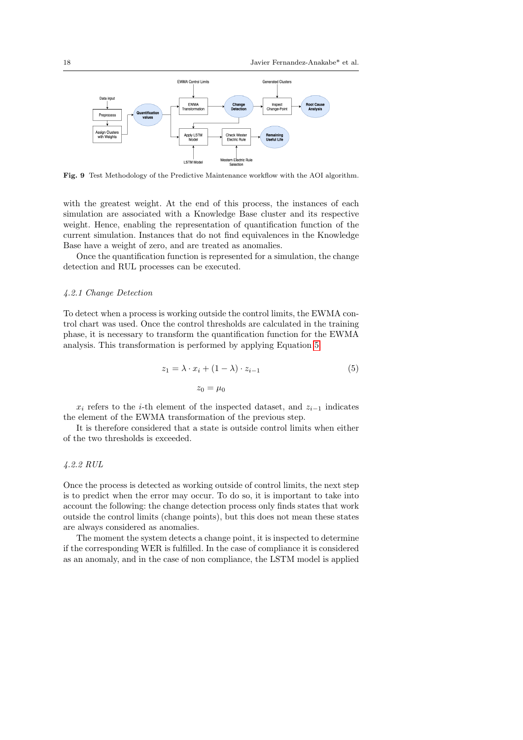

<span id="page-17-0"></span>Fig. 9 Test Methodology of the Predictive Maintenance workflow with the AOI algorithm.

with the greatest weight. At the end of this process, the instances of each simulation are associated with a Knowledge Base cluster and its respective weight. Hence, enabling the representation of quantification function of the current simulation. Instances that do not find equivalences in the Knowledge Base have a weight of zero, and are treated as anomalies.

Once the quantification function is represented for a simulation, the change detection and RUL processes can be executed.

### 4.2.1 Change Detection

To detect when a process is working outside the control limits, the EWMA control chart was used. Once the control thresholds are calculated in the training phase, it is necessary to transform the quantification function for the EWMA analysis. This transformation is performed by applying Equation [5.](#page-17-1)

<span id="page-17-1"></span>
$$
z_1 = \lambda \cdot x_i + (1 - \lambda) \cdot z_{i-1}
$$
  
\n
$$
z_0 = \mu_0
$$
\n(5)

 $x_i$  refers to the *i*-th element of the inspected dataset, and  $z_{i-1}$  indicates the element of the EWMA transformation of the previous step.

It is therefore considered that a state is outside control limits when either of the two thresholds is exceeded.

# 4.2.2 RUL

Once the process is detected as working outside of control limits, the next step is to predict when the error may occur. To do so, it is important to take into account the following: the change detection process only finds states that work outside the control limits (change points), but this does not mean these states are always considered as anomalies.

The moment the system detects a change point, it is inspected to determine if the corresponding WER is fulfilled. In the case of compliance it is considered as an anomaly, and in the case of non compliance, the LSTM model is applied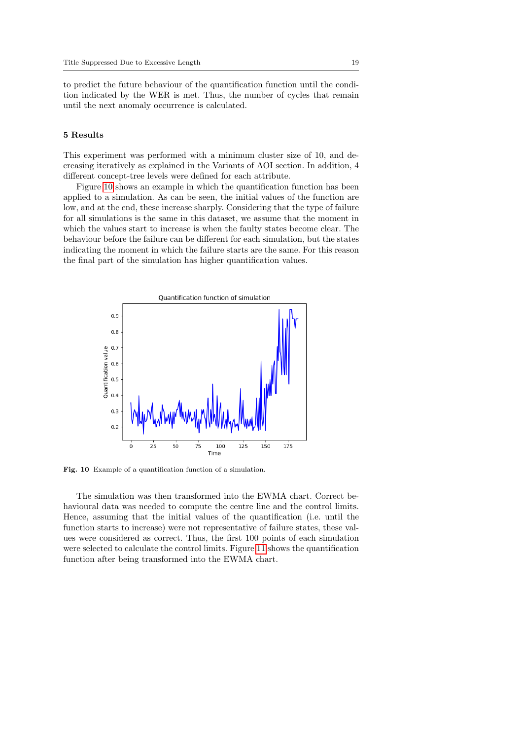to predict the future behaviour of the quantification function until the condition indicated by the WER is met. Thus, the number of cycles that remain until the next anomaly occurrence is calculated.

#### 5 Results

This experiment was performed with a minimum cluster size of 10, and decreasing iteratively as explained in the Variants of AOI section. In addition, 4 different concept-tree levels were defined for each attribute.

Figure [10](#page-18-0) shows an example in which the quantification function has been applied to a simulation. As can be seen, the initial values of the function are low, and at the end, these increase sharply. Considering that the type of failure for all simulations is the same in this dataset, we assume that the moment in which the values start to increase is when the faulty states become clear. The behaviour before the failure can be different for each simulation, but the states indicating the moment in which the failure starts are the same. For this reason the final part of the simulation has higher quantification values.



<span id="page-18-0"></span>Fig. 10 Example of a quantification function of a simulation.

The simulation was then transformed into the EWMA chart. Correct behavioural data was needed to compute the centre line and the control limits. Hence, assuming that the initial values of the quantification (i.e. until the function starts to increase) were not representative of failure states, these values were considered as correct. Thus, the first 100 points of each simulation were selected to calculate the control limits. Figure [11](#page-19-0) shows the quantification function after being transformed into the EWMA chart.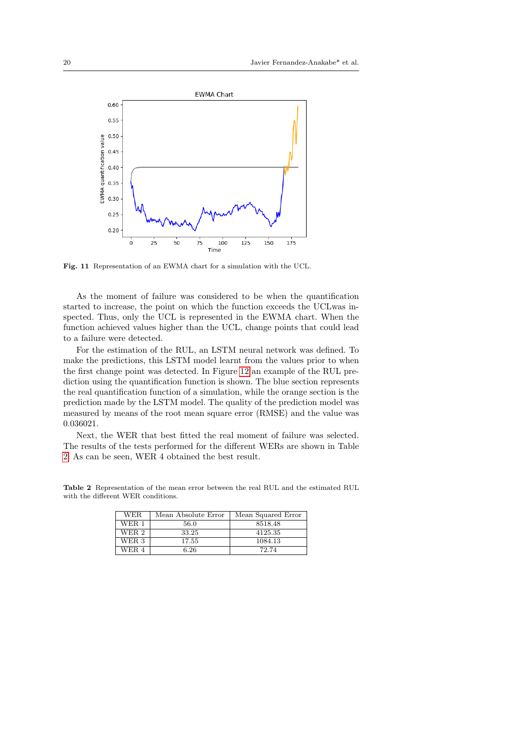

<span id="page-19-0"></span>Fig. 11 Representation of an EWMA chart for a simulation with the UCL.

As the moment of failure was considered to be when the quantification started to increase, the point on which the function exceeds the UCLwas inspected. Thus, only the UCL is represented in the EWMA chart. When the function achieved values higher than the UCL, change points that could lead to a failure were detected.

For the estimation of the RUL, an LSTM neural network was defined. To make the predictions, this LSTM model learnt from the values prior to when the first change point was detected. In Figure [12](#page-20-0) an example of the RUL prediction using the quantification function is shown. The blue section represents the real quantification function of a simulation, while the orange section is the prediction made by the LSTM model. The quality of the prediction model was measured by means of the root mean square error (RMSE) and the value was 0.036021.

Next, the WER that best fitted the real moment of failure was selected. The results of the tests performed for the different WERs are shown in Table [2.](#page-19-1) As can be seen, WER 4 obtained the best result.

Table 2 Representation of the mean error between the real RUL and the estimated RUL with the different WER conditions.

<span id="page-19-1"></span>

| WER.  | Mean Absolute Error | Mean Squared Error |
|-------|---------------------|--------------------|
| WER 1 | 56.0                | 8518.48            |
| WER 2 | 33.25               | 4125.35            |
| WER 3 | 17.55               | 1084.13            |
| WER 4 | 6.26                | 72.74              |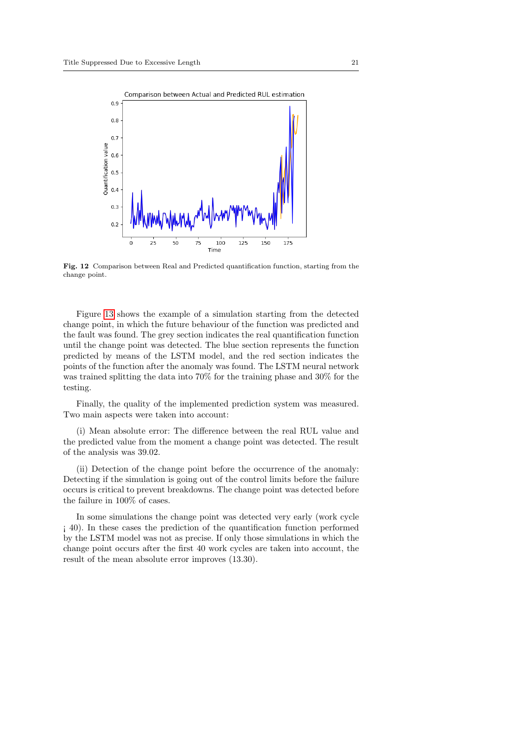

<span id="page-20-0"></span>Fig. 12 Comparison between Real and Predicted quantification function, starting from the change point.

Figure [13](#page-21-0) shows the example of a simulation starting from the detected change point, in which the future behaviour of the function was predicted and the fault was found. The grey section indicates the real quantification function until the change point was detected. The blue section represents the function predicted by means of the LSTM model, and the red section indicates the points of the function after the anomaly was found. The LSTM neural network was trained splitting the data into 70% for the training phase and 30% for the testing.

Finally, the quality of the implemented prediction system was measured. Two main aspects were taken into account:

(i) Mean absolute error: The difference between the real RUL value and the predicted value from the moment a change point was detected. The result of the analysis was 39.02.

(ii) Detection of the change point before the occurrence of the anomaly: Detecting if the simulation is going out of the control limits before the failure occurs is critical to prevent breakdowns. The change point was detected before the failure in 100% of cases.

In some simulations the change point was detected very early (work cycle ¡ 40). In these cases the prediction of the quantification function performed by the LSTM model was not as precise. If only those simulations in which the change point occurs after the first 40 work cycles are taken into account, the result of the mean absolute error improves (13.30).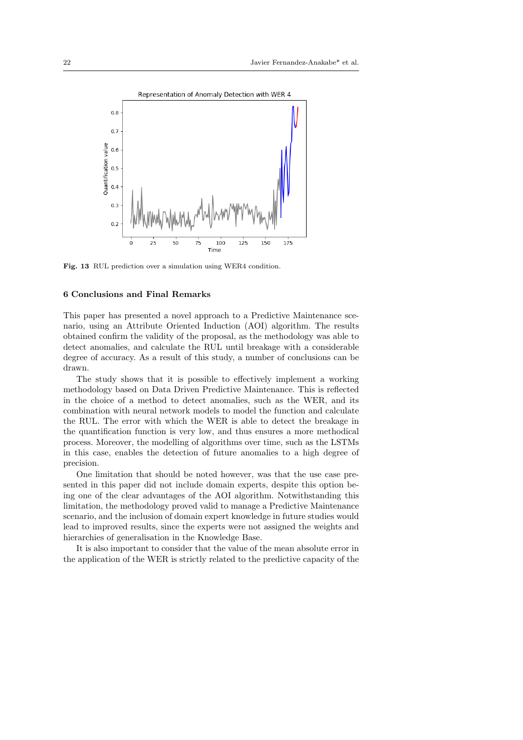

<span id="page-21-0"></span>Fig. 13 RUL prediction over a simulation using WER4 condition.

# 6 Conclusions and Final Remarks

This paper has presented a novel approach to a Predictive Maintenance scenario, using an Attribute Oriented Induction (AOI) algorithm. The results obtained confirm the validity of the proposal, as the methodology was able to detect anomalies, and calculate the RUL until breakage with a considerable degree of accuracy. As a result of this study, a number of conclusions can be drawn.

The study shows that it is possible to effectively implement a working methodology based on Data Driven Predictive Maintenance. This is reflected in the choice of a method to detect anomalies, such as the WER, and its combination with neural network models to model the function and calculate the RUL. The error with which the WER is able to detect the breakage in the quantification function is very low, and thus ensures a more methodical process. Moreover, the modelling of algorithms over time, such as the LSTMs in this case, enables the detection of future anomalies to a high degree of precision.

One limitation that should be noted however, was that the use case presented in this paper did not include domain experts, despite this option being one of the clear advantages of the AOI algorithm. Notwithstanding this limitation, the methodology proved valid to manage a Predictive Maintenance scenario, and the inclusion of domain expert knowledge in future studies would lead to improved results, since the experts were not assigned the weights and hierarchies of generalisation in the Knowledge Base.

It is also important to consider that the value of the mean absolute error in the application of the WER is strictly related to the predictive capacity of the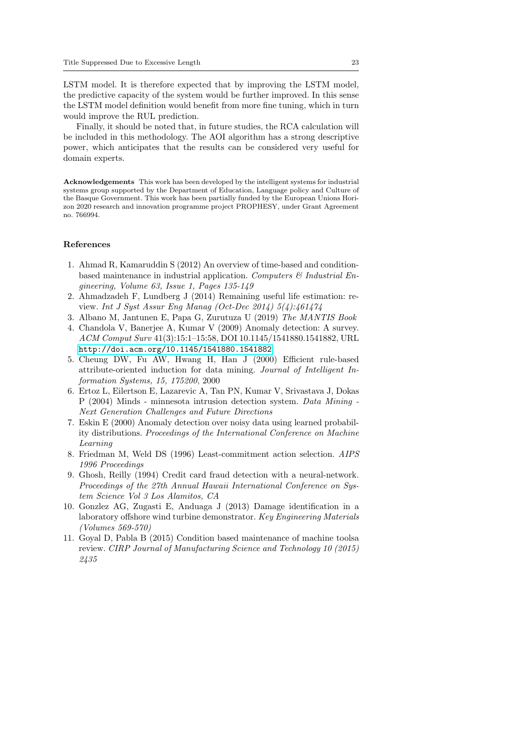LSTM model. It is therefore expected that by improving the LSTM model, the predictive capacity of the system would be further improved. In this sense the LSTM model definition would benefit from more fine tuning, which in turn would improve the RUL prediction.

Finally, it should be noted that, in future studies, the RCA calculation will be included in this methodology. The AOI algorithm has a strong descriptive power, which anticipates that the results can be considered very useful for domain experts.

Acknowledgements This work has been developed by the intelligent systems for industrial systems group supported by the Department of Education, Language policy and Culture of the Basque Government. This work has been partially funded by the European Unions Horizon 2020 research and innovation programme project PROPHESY, under Grant Agreement no. 766994.

# References

- <span id="page-22-1"></span>1. Ahmad R, Kamaruddin S (2012) An overview of time-based and conditionbased maintenance in industrial application. Computers  $\mathcal{B}'$  Industrial Engineering, Volume 63, Issue 1, Pages 135-149
- <span id="page-22-8"></span>2. Ahmadzadeh F, Lundberg J (2014) Remaining useful life estimation: review. Int J Syst Assur Eng Manag (Oct-Dec 2014) 5(4):461474
- <span id="page-22-2"></span>3. Albano M, Jantunen E, Papa G, Zurutuza U (2019) The MANTIS Book
- <span id="page-22-3"></span>4. Chandola V, Banerjee A, Kumar V (2009) Anomaly detection: A survey. ACM Comput Surv 41(3):15:1–15:58, DOI 10.1145/1541880.1541882, URL <http://doi.acm.org/10.1145/1541880.1541882>
- <span id="page-22-9"></span>5. Cheung DW, Fu AW, Hwang H, Han J (2000) Efficient rule-based attribute-oriented induction for data mining. Journal of Intelligent Information Systems, 15, 175200, 2000
- <span id="page-22-5"></span>6. Ertoz L, Eilertson E, Lazarevic A, Tan PN, Kumar V, Srivastava J, Dokas P (2004) Minds - minnesota intrusion detection system. Data Mining - Next Generation Challenges and Future Directions
- <span id="page-22-4"></span>7. Eskin E (2000) Anomaly detection over noisy data using learned probability distributions. Proceedings of the International Conference on Machine Learning
- <span id="page-22-10"></span>8. Friedman M, Weld DS (1996) Least-commitment action selection. AIPS 1996 Proceedings
- <span id="page-22-6"></span>9. Ghosh, Reilly (1994) Credit card fraud detection with a neural-network. Proceedings of the 27th Annual Hawaii International Conference on System Science Vol 3 Los Alamitos, CA
- <span id="page-22-7"></span>10. Gonzlez AG, Zugasti E, Anduaga J (2013) Damage identification in a laboratory offshore wind turbine demonstrator. Key Engineering Materials (Volumes 569-570)
- <span id="page-22-0"></span>11. Goyal D, Pabla B (2015) Condition based maintenance of machine toolsa review. CIRP Journal of Manufacturing Science and Technology 10 (2015) 2435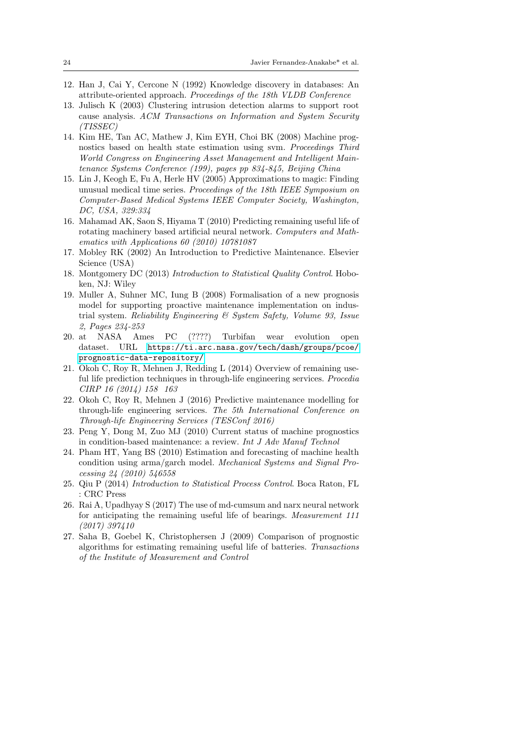- <span id="page-23-11"></span>12. Han J, Cai Y, Cercone N (1992) Knowledge discovery in databases: An attribute-oriented approach. Proceedings of the 18th VLDB Conference
- <span id="page-23-12"></span>13. Julisch K (2003) Clustering intrusion detection alarms to support root cause analysis. ACM Transactions on Information and System Security (TISSEC)
- <span id="page-23-10"></span>14. Kim HE, Tan AC, Mathew J, Kim EYH, Choi BK (2008) Machine prognostics based on health state estimation using svm. Proceedings Third World Congress on Engineering Asset Management and Intelligent Maintenance Systems Conference (199), pages pp 834-845, Beijing China
- <span id="page-23-4"></span>15. Lin J, Keogh E, Fu A, Herle HV (2005) Approximations to magic: Finding unusual medical time series. Proceedings of the 18th IEEE Symposium on Computer-Based Medical Systems IEEE Computer Society, Washington, DC, USA, 329:334
- <span id="page-23-8"></span>16. Mahamad AK, Saon S, Hiyama T (2010) Predicting remaining useful life of rotating machinery based artificial neural network. Computers and Mathematics with Applications 60 (2010) 10781087
- <span id="page-23-0"></span>17. Mobley RK (2002) An Introduction to Predictive Maintenance. Elsevier Science (USA)
- <span id="page-23-14"></span>18. Montgomery DC (2013) Introduction to Statistical Quality Control. Hoboken, NJ: Wiley
- <span id="page-23-3"></span>19. Muller A, Suhner MC, Iung B (2008) Formalisation of a new prognosis model for supporting proactive maintenance implementation on industrial system. Reliability Engineering & System Safety, Volume 93, Issue 2, Pages 234-253
- <span id="page-23-13"></span>20. at NASA Ames PC (????) Turbifan wear evolution open dataset. URL [https://ti.arc.nasa.gov/tech/dash/groups/pcoe/](https://ti.arc.nasa.gov/tech/dash/groups/pcoe/prognostic-data-repository/) [prognostic-data-repository/](https://ti.arc.nasa.gov/tech/dash/groups/pcoe/prognostic-data-repository/)
- <span id="page-23-5"></span>21. Okoh C, Roy R, Mehnen J, Redding L (2014) Overview of remaining useful life prediction techniques in through-life engineering services. Procedia CIRP 16 (2014) 158 163
- <span id="page-23-1"></span>22. Okoh C, Roy R, Mehnen J (2016) Predictive maintenance modelling for through-life engineering services. The 5th International Conference on Through-life Engineering Services (TESConf 2016)
- <span id="page-23-2"></span>23. Peng Y, Dong M, Zuo MJ (2010) Current status of machine prognostics in condition-based maintenance: a review. Int J Adv Manuf Technol
- <span id="page-23-7"></span>24. Pham HT, Yang BS (2010) Estimation and forecasting of machine health condition using arma/garch model. Mechanical Systems and Signal Processing 24 (2010) 546558
- <span id="page-23-15"></span>25. Qiu P (2014) Introduction to Statistical Process Control. Boca Raton, FL : CRC Press
- <span id="page-23-9"></span>26. Rai A, Upadhyay S (2017) The use of md-cumsum and narx neural network for anticipating the remaining useful life of bearings. Measurement 111 (2017) 397410
- <span id="page-23-6"></span>27. Saha B, Goebel K, Christophersen J (2009) Comparison of prognostic algorithms for estimating remaining useful life of batteries. Transactions of the Institute of Measurement and Control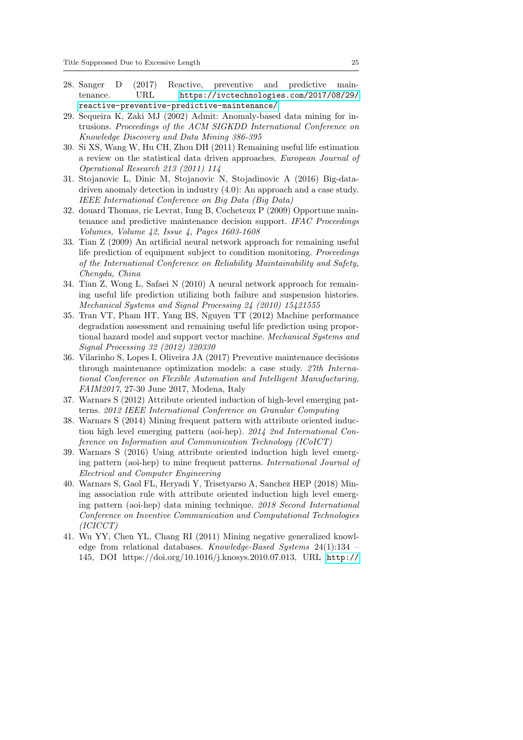- <span id="page-24-2"></span>28. Sanger D (2017) Reactive, preventive and predictive maintenance. URL [https://ivctechnologies.com/2017/08/29/](https://ivctechnologies.com/2017/08/29/reactive-preventive-predictive-maintenance/) [reactive-preventive-predictive-maintenance/](https://ivctechnologies.com/2017/08/29/reactive-preventive-predictive-maintenance/)
- <span id="page-24-3"></span>29. Sequeira K, Zaki MJ (2002) Admit: Anomaly-based data mining for intrusions. Proceedings of the ACM SIGKDD International Conference on Knowledge Discovery and Data Mining 386-395
- <span id="page-24-5"></span>30. Si XS, Wang W, Hu CH, Zhou DH (2011) Remaining useful life estimation a review on the statistical data driven approaches. European Journal of Operational Research 213 (2011) 114
- <span id="page-24-4"></span>31. Stojanovic L, Dinic M, Stojanovic N, Stojadinovic A (2016) Big-datadriven anomaly detection in industry (4.0): An approach and a case study. IEEE International Conference on Big Data (Big Data)
- <span id="page-24-1"></span>32. douard Thomas, ric Levrat, Iung B, Cocheteux P (2009) Opportune maintenance and predictive maintenance decision support. IFAC Proceedings Volumes, Volume 42, Issue 4, Pages 1603-1608
- <span id="page-24-6"></span>33. Tian Z (2009) An artificial neural network approach for remaining useful life prediction of equipment subject to condition monitoring. Proceedings of the International Conference on Reliability Maintainability and Safety, Chengdu, China
- <span id="page-24-7"></span>34. Tian Z, Wong L, Safaei N (2010) A neural network approach for remaining useful life prediction utilizing both failure and suspension histories. Mechanical Systems and Signal Processing 24 (2010) 15421555
- <span id="page-24-8"></span>35. Tran VT, Pham HT, Yang BS, Nguyen TT (2012) Machine performance degradation assessment and remaining useful life prediction using proportional hazard model and support vector machine. Mechanical Systems and Signal Processing 32 (2012) 320330
- <span id="page-24-0"></span>36. Vilarinho S, Lopes I, Oliveira JA (2017) Preventive maintenance decisions through maintenance optimization models: a case study. 27th International Conference on Flexible Automation and Intelligent Manufacturing, FAIM2017, 27-30 June 2017, Modena, Italy
- <span id="page-24-10"></span>37. Warnars S (2012) Attribute oriented induction of high-level emerging patterns. 2012 IEEE International Conference on Granular Computing
- <span id="page-24-11"></span>38. Warnars S (2014) Mining frequent pattern with attribute oriented induction high level emerging pattern (aoi-hep). 2014 2nd International Conference on Information and Communication Technology (ICoICT)
- <span id="page-24-12"></span>39. Warnars S (2016) Using attribute oriented induction high level emerging pattern (aoi-hep) to mine frequent patterns. International Journal of Electrical and Computer Engineering
- <span id="page-24-13"></span>40. Warnars S, Gaol FL, Heryadi Y, Trisetyarso A, Sanchez HEP (2018) Mining association rule with attribute oriented induction high level emerging pattern (aoi-hep) data mining technique. 2018 Second International Conference on Inventive Communication and Computational Technologies (ICICCT)
- <span id="page-24-9"></span>41. Wu YY, Chen YL, Chang RI (2011) Mining negative generalized knowledge from relational databases. Knowledge-Based Systems 24(1):134 – 145, DOI https://doi.org/10.1016/j.knosys.2010.07.013, URL [http://](http://www.sciencedirect.com/science/article/pii/S0950705110001279)